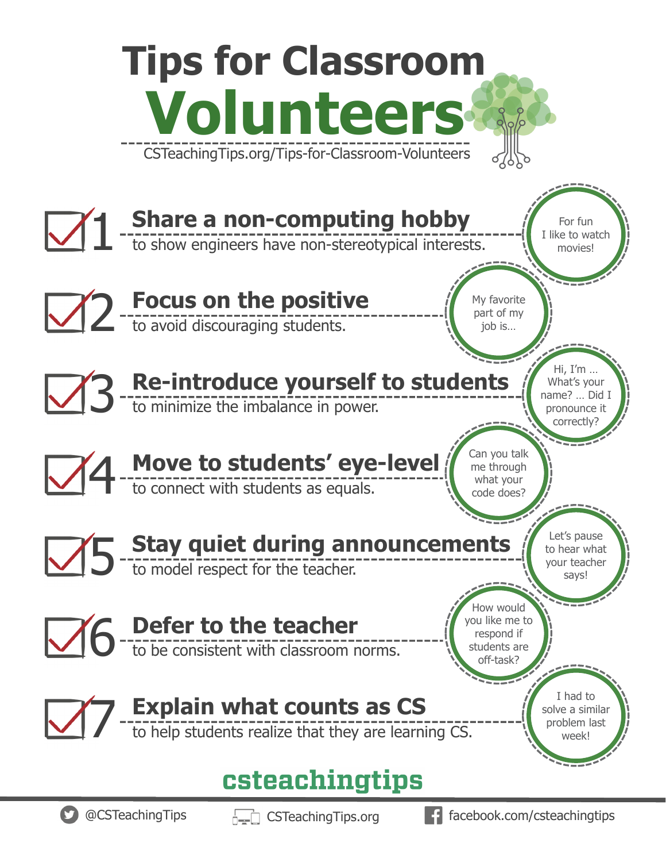